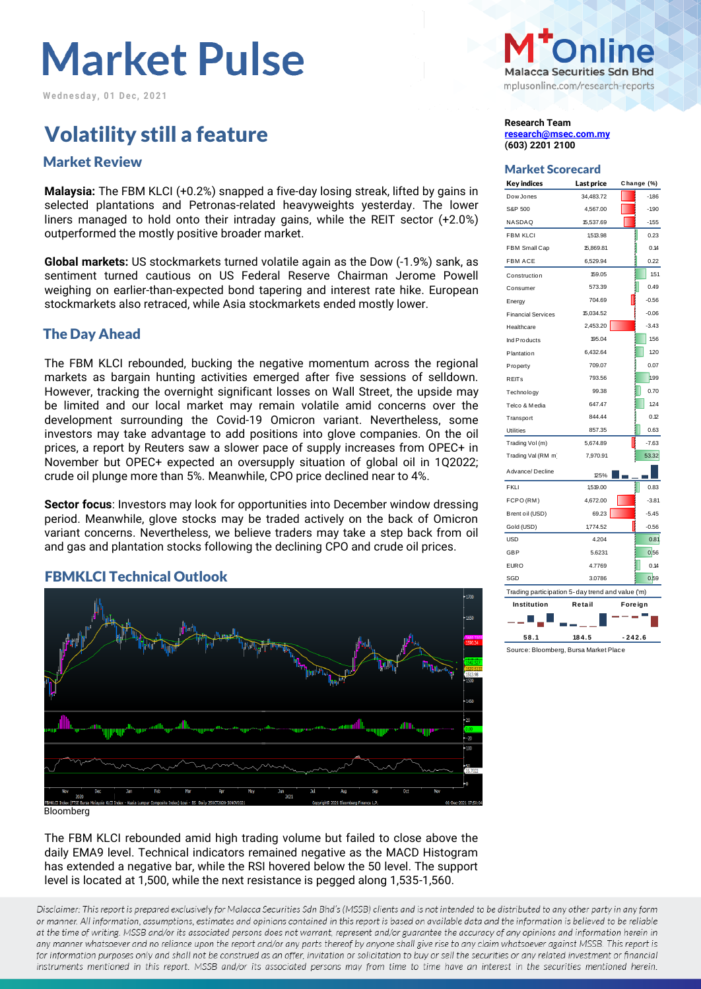# **Market Pulse**

**W e d n e s d a y , 0 1 D e c , 2 0 2 1**

## **Volatility still a feature Research Team** Research Team

## Market Scorecard Market Review

**Malaysia:** The FBM KLCI (+0.2%) snapped a five-day losing streak, lifted by gains in selected plantations and Petronas-related heavyweights yesterday. The lower liners managed to hold onto their intraday gains, while the REIT sector (+2.0%) outperformed the mostly positive broader market.

**Global markets:** US stockmarkets turned volatile again as the Dow (-1.9%) sank, as sentiment turned cautious on US Federal Reserve Chairman Jerome Powell weighing on earlier-than-expected bond tapering and interest rate hike. European stockmarkets also retraced, while Asia stockmarkets ended mostly lower.

### The Day Ahead

The FBM KLCI rebounded, bucking the negative momentum across the regional markets as bargain hunting activities emerged after five sessions of selldown. However, tracking the overnight significant losses on Wall Street, the upside may be limited and our local market may remain volatile amid concerns over the development surrounding the Covid-19 Omicron variant. Nevertheless, some investors may take advantage to add positions into glove companies. On the oil prices, a report by Reuters saw a slower pace of supply increases from OPEC+ in November but OPEC+ expected an oversupply situation of global oil in 1Q2022; crude oil plunge more than 5%. Meanwhile, CPO price declined near to 4%.

**Sector focus**: Investors may look for opportunities into December window dressing period. Meanwhile, glove stocks may be traded actively on the back of Omicron variant concerns. Nevertheless, we believe traders may take a step back from oil and gas and plantation stocks following the declining CPO and crude oil prices.

### FBMKLCI Technical Outlook



The FBM KLCI rebounded amid high trading volume but failed to close above the daily EMA9 level. Technical indicators remained negative as the MACD Histogram has extended a negative bar, while the RSI hovered below the 50 level. The support level is located at 1,500, while the next resistance is pegged along 1,535-1,560.

Disclaimer: This report is prepared exclusively for Malacca Securities Sdn Bhd's (MSSB) clients and is not intended to be distributed to any other party in any form or manner. All information, assumptions, estimates and opinions contained in this report is based on available data and the information is believed to be reliable at the time of writing. MSSB and/or its associated persons does not warrant, represent and/or guarantee the accuracy of any opinions and information herein in any manner whatsoever and no reliance upon the report and/or any parts thereof by anyone shall give rise to any claim whatsoever against MSSB. This report is for information purposes only and shall not be construed as an offer, invitation or solicitation to buy or sell the securities or any related investment or financial instruments mentioned in this report. MSSB and/or its associated persons may from time to time have an interest in the securities mentioned herein.



**[research@msec.com.my](mailto:research@msec.com.my) (603) 2201 2100**

| <b>Key indices</b>                               | Last price        | Change (%) |  |  |  |  |  |  |
|--------------------------------------------------|-------------------|------------|--|--|--|--|--|--|
| Dow Jones                                        | 34,483.72         | $-1.86$    |  |  |  |  |  |  |
| S&P 500                                          | 4,567.00          | $-1.90$    |  |  |  |  |  |  |
| NASDAQ                                           | 15,537.69         | $-155$     |  |  |  |  |  |  |
| <b>FBM KLCI</b>                                  | 1,513.98          | 0.23       |  |  |  |  |  |  |
| FBM Small Cap                                    | 15,869.81         | 0.14       |  |  |  |  |  |  |
| <b>FBM ACE</b>                                   | 6,529.94          | 0.22       |  |  |  |  |  |  |
| Construction                                     | 159.05            | 1.51       |  |  |  |  |  |  |
| Consumer                                         | 573.39            | 0.49       |  |  |  |  |  |  |
| Energy                                           | 704.69            | $-0.56$    |  |  |  |  |  |  |
| <b>Financial Services</b>                        | 15,034.52         | $-0.06$    |  |  |  |  |  |  |
| Healthcare                                       | 2,453.20          | $-3.43$    |  |  |  |  |  |  |
| Ind Products                                     | 195.04            | 1.56       |  |  |  |  |  |  |
| Plantation                                       | 6,432.64          | 1.20       |  |  |  |  |  |  |
| Property                                         | 709.07            | 0.07       |  |  |  |  |  |  |
| <b>REITs</b>                                     | 793.56            | 1.99       |  |  |  |  |  |  |
| Technology                                       | 99.38             | 0.70       |  |  |  |  |  |  |
| Telco & Media                                    | 647.47            | 1.24       |  |  |  |  |  |  |
| Transport                                        | 844.44            | 0.12       |  |  |  |  |  |  |
| <b>Utilities</b>                                 | 857.35            | 0.63       |  |  |  |  |  |  |
| Trading Vol (m)                                  | 5,674.89          | $-7.63$    |  |  |  |  |  |  |
| Trading Val (RM m)                               | 7,970.91          | 53.32      |  |  |  |  |  |  |
| Advance/Decline                                  | 125%              |            |  |  |  |  |  |  |
| <b>FKLI</b>                                      | 1,519.00          | 0.83       |  |  |  |  |  |  |
| FCPO(RM)                                         | 4,672.00          | $-3.81$    |  |  |  |  |  |  |
| Brent oil (USD)                                  | 69.23             | $-5.45$    |  |  |  |  |  |  |
| Gold (USD)                                       | 1,774.52          | $-0.56$    |  |  |  |  |  |  |
| <b>USD</b>                                       | 4.204             | 0.81       |  |  |  |  |  |  |
| <b>GBP</b>                                       | 5.6231            | 0,56       |  |  |  |  |  |  |
| <b>EURO</b>                                      | 4.7769            | 0.14       |  |  |  |  |  |  |
| SGD                                              | 3.0786            | 0.59       |  |  |  |  |  |  |
| Trading participation 5-day trend and value ('m) |                   |            |  |  |  |  |  |  |
| Institution                                      | Retail<br>Foreign |            |  |  |  |  |  |  |
|                                                  |                   |            |  |  |  |  |  |  |
| 58.1                                             | 184.5             | $-242.6$   |  |  |  |  |  |  |

Source: Bloomberg, Bursa Market Place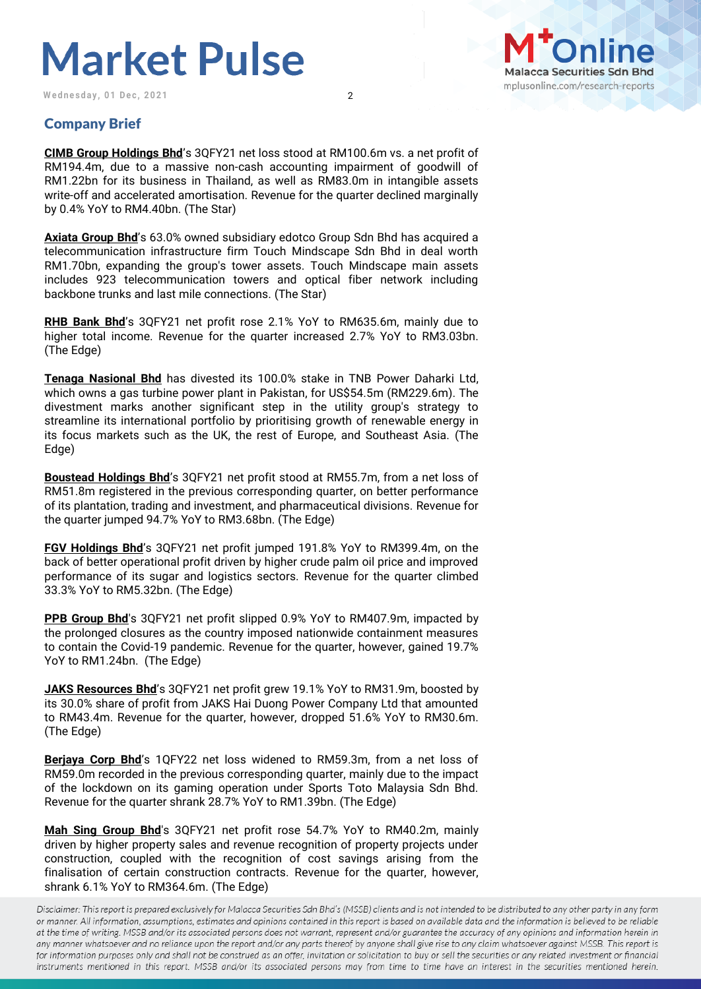## **Market Pulse**

Wednesday, 01 Dec, 2021 2



## Company Brief

**CIMB Group Holdings Bhd**'s 3QFY21 net loss stood at RM100.6m vs. a net profit of RM194.4m, due to a massive non-cash accounting impairment of goodwill of RM1.22bn for its business in Thailand, as well as RM83.0m in intangible assets write-off and accelerated amortisation. Revenue for the quarter declined marginally by 0.4% YoY to RM4.40bn. (The Star)

**Axiata Group Bhd**'s 63.0% owned subsidiary edotco Group Sdn Bhd has acquired a telecommunication infrastructure firm Touch Mindscape Sdn Bhd in deal worth RM1.70bn, expanding the group's tower assets. Touch Mindscape main assets includes 923 telecommunication towers and optical fiber network including backbone trunks and last mile connections. (The Star)

**RHB Bank Bhd**'s 3QFY21 net profit rose 2.1% YoY to RM635.6m, mainly due to higher total income. Revenue for the quarter increased 2.7% YoY to RM3.03bn. (The Edge)

**Tenaga Nasional Bhd** has divested its 100.0% stake in TNB Power Daharki Ltd, which owns a gas turbine power plant in Pakistan, for US\$54.5m (RM229.6m). The divestment marks another significant step in the utility group's strategy to streamline its international portfolio by prioritising growth of renewable energy in its focus markets such as the UK, the rest of Europe, and Southeast Asia. (The Edge)

**Boustead Holdings Bhd**'s 3QFY21 net profit stood at RM55.7m, from a net loss of RM51.8m registered in the previous corresponding quarter, on better performance of its plantation, trading and investment, and pharmaceutical divisions. Revenue for the quarter jumped 94.7% YoY to RM3.68bn. (The Edge)

**FGV Holdings Bhd**'s 3QFY21 net profit jumped 191.8% YoY to RM399.4m, on the back of better operational profit driven by higher crude palm oil price and improved performance of its sugar and logistics sectors. Revenue for the quarter climbed 33.3% YoY to RM5.32bn. (The Edge)

**PPB Group Bhd**'s 3QFY21 net profit slipped 0.9% YoY to RM407.9m, impacted by the prolonged closures as the country imposed nationwide containment measures to contain the Covid-19 pandemic. Revenue for the quarter, however, gained 19.7% YoY to RM1.24bn. (The Edge)

**JAKS Resources Bhd**'s 3QFY21 net profit grew 19.1% YoY to RM31.9m, boosted by its 30.0% share of profit from JAKS Hai Duong Power Company Ltd that amounted to RM43.4m. Revenue for the quarter, however, dropped 51.6% YoY to RM30.6m. (The Edge)

**Berjaya Corp Bhd**'s 1QFY22 net loss widened to RM59.3m, from a net loss of RM59.0m recorded in the previous corresponding quarter, mainly due to the impact of the lockdown on its gaming operation under Sports Toto Malaysia Sdn Bhd. Revenue for the quarter shrank 28.7% YoY to RM1.39bn. (The Edge)

**Mah Sing Group Bhd**'s 3QFY21 net profit rose 54.7% YoY to RM40.2m, mainly driven by higher property sales and revenue recognition of property projects under construction, coupled with the recognition of cost savings arising from the finalisation of certain construction contracts. Revenue for the quarter, however, shrank 6.1% YoY to RM364.6m. (The Edge)

Disclaimer: This report is prepared exclusively for Malacca Securities Sdn Bhd's (MSSB) clients and is not intended to be distributed to any other party in any form or manner. All information, assumptions, estimates and opinions contained in this report is based on available data and the information is believed to be reliable at the time of writing. MSSB and/or its associated persons does not warrant, represent and/or guarantee the accuracy of any opinions and information herein in any manner whatsoever and no reliance upon the report and/or any parts thereof by anyone shall give rise to any claim whatsoever against MSSB. This report is for information purposes only and shall not be construed as an offer, invitation or solicitation to buy or sell the securities or any related investment or financial instruments mentioned in this report. MSSB and/or its associated persons may from time to time have an interest in the securities mentioned herein.